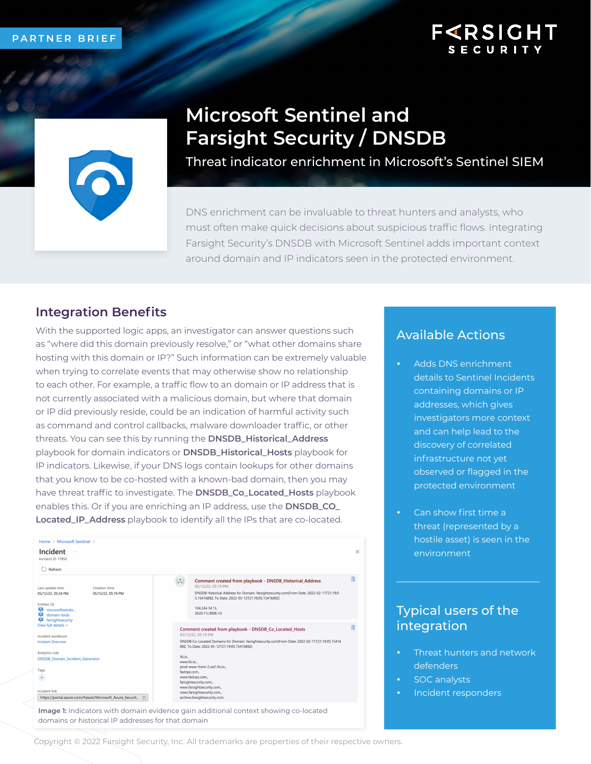## **F<RSIGHT SECURIT**



# **Microsoft Sentinel and Farsight Security / DNSDB**

Threat indicator enrichment in Microsoft's Sentinel SIEM

DNS enrichment can be invaluable to threat hunters and analysts, who must often make quick decisions about suspicious traffic flows. Integrating Farsight Security's DNSDB with Microsoft Sentinel adds important context around domain and IP indicators seen in the protected environment.

## **Integration Benefits**

With the supported logic apps, an investigator can answer questions such as "where did this domain previously resolve," or "what other domains share hosting with this domain or IP?" Such information can be extremely valuable when trying to correlate events that may otherwise show no relationship to each other. For example, a traffic flow to an domain or IP address that is not currently associated with a malicious domain, but where that domain or IP did previously reside, could be an indication of harmful activity such as command and control callbacks, malware downloader traffic, or other threats. You can see this by running the **DNSDB\_Historical\_Address** playbook for domain indicators or **DNSDB\_Historical\_Hosts** playbook for IP indicators. Likewise, if your DNS logs contain lookups for other domains that you know to be co-hosted with a known-bad domain, then you may have threat traffic to investigate. The **DNSDB\_Co\_Located\_Hosts** playbook enables this. Or if you are enriching an IP address, use the **DNSDB\_CO\_ Located\_IP\_Address** playbook to identify all the IPs that are co-located.



**Image 1:** Indicators with domain evidence gain additional context showing co-located domains or historical IP addresses for that domain

### Available Actions

- Adds DNS enrichment details to Sentinel Incidents containing domains or IP addresses, which gives investigators more context and can help lead to the discovery of correlated infrastructure not yet observed or flagged in the protected environment
- Can show first time a threat (represented by a hostile asset) is seen in the environment

## Typical users of the integration

- Threat hunters and network defenders
- SOC analysts
- Incident responders

Copyright © 2022 Farsight Security, Inc. All trademarks are properties of their respective owners.